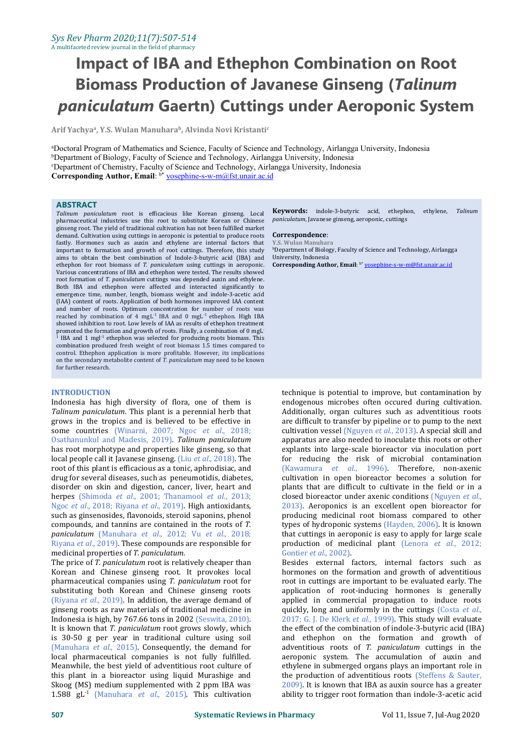# **Impact of IBA and Ethephon Combination on Root Biomass Production of Javanese Ginseng (***Talinum paniculatum* **Gaertn) Cuttings under Aeroponic System**

**Arif Yachya a , Y.S. Wulan Manuhara b , Alvinda Novi Kristanti c** and **c** and **c c c c c c c** 

<sup>a</sup>Doctoral Program of Mathematics and Science, Faculty of Science and Technology, Airlangga University, Indonesia <sup>b</sup>Department of Biology, Faculty of Science and Technology, Airlangga University, Indonesia <sup>c</sup>Department of Chemistry, Faculty of Science and Technology, Airlangga University, Indonesia **Corresponding Author, Email**: b\* [yosephine-s-w-m@fst.unair.ac.id](mailto:yosephine-s-w-m@fst.unair.ac.id)

### **ABSTRACT**

*Talinum paniculatum* root is efficacious like Korean ginseng. Local pharmaceutical industries use this root to substitute Korean or Chinese ginseng root. The yield of traditional cultivation has notbeen fulfilled market demand. Cultivation using cuttings in aeroponic is potential to produce roots **Correspondence**:<br>fastly. Hormones, such as auxin, and ethylene, are internal factors that Y.S. Wulan Manuhara fastly. Hormones such as auxin and ethylene are internal factors that important to formation and growth of root cuttings. Therefore, this study  $\,^{\text{b}}$ Department of Biolo aims to obtain the best combination of Indole-3-butyric acid (IBA) and University, Indonesia aims to obtain the best combination of Indole-3-butyric acid (IBA) and ethephon for root biomass of *T. paniculatum* using cuttings in aeroponic. Various concentrations of IBA and ethephon were tested. The results showed root formation of *T. paniculatum* cuttings was depended auxin and ethylene. Both IBA and ethephon were affected and interacted significantly to emergence time, number, length, biomass weight and indole-3-acetic acid (IAA) content of roots. Application of both hormones improved IAA content and number of roots. Optimum concentration for number of roots was reached by combination of 4  $mgl^{-1}$  IBA and 0  $mgl^{-1}$  ethephon. High IBA showed inhibition to root. Low levels of IAA as results of ethephon treatment promoted the formation and growth of roots. Finally, a combination of 0 mgL -  $<sup>1</sup>$  IBA and 1 mgl<sup>-1</sup> ethephon was selected for producing roots biomass. This</sup> combination produced fresh weight of root biomass 1.5 times compared to control. Ethephon application is more profitable. However, its implications on the secondary metabolite content of *T. paniculatum* may need to be known for further research.

### **INTRODUCTION**

Indonesia has high diversity of flora, one of them is *Talinum paniculatum*. This plant is <sup>a</sup> perennial herb that grows in the tropics and is believed to be effective in some countries (Winarni, 2007; Ngoc *et al*., 2018; Osathanunkul and Madesis, 2019). *Talinum paniculatum* has root morphotype and properties like ginseng, so that local people call it Javanese ginseng. (Liu *et al*., 2018). The root of this plant is efficacious as a tonic, aphrodisiac, and drug for several diseases, such as peneumotidis, diabetes, disorder on skin and digestion, cancer, liver, heart and herpes (Shimoda *et al*., 2001; Thanamool *et al*., 2013; Ngoc *et al*., 2018; Riyana *et al*., 2019). High antioxidants, such as ginsenosides, flavonoids, steroid saponins, phenol compounds, and tannins are contained in the roots of T. compounds, and tannins are contained in the roots of *T. paniculatum* (Manuhara *et al*., 2012; Vu *et al*., 2018; Riyana *et al*., 2019). These compounds are responsible for medicinal properties of *T. paniculatum*.

The price of*T. paniculatum* root is relatively cheaper than Korean and Chinese ginseng root. It provokes local pharmaceutical companies using *T. paniculatum* root for substituting both Korean and Chinese ginseng roots (Riyana *et al*., 2019). In addition, the average demand of ginseng roots as raw materials of traditional medicine in Indonesia is high, by 767.66 tons in 2002 (Seswita, 2010). It is known that *T. paniculatum* root grows slowly, which is 30-50 g per year in traditional culture using soil (Manuhara *et al*., 2015). Consequently, the demand for local pharmaceutical companies is not fully fulfilled. Meanwhile, the best yield of adventitious root culture of this plant in a bioreactor using liquid Murashige and Skoog (MS) medium supplemented with 2 ppm IBA was 1.588 gL -1 (Manuhara *et al*., 2015). This cultivation

**Keywords:** indole-3-butyric acid, ethephon, ethylene, *Talinum paniculatum*, Javanese ginseng, aeroponic, cuttings

## $Correspondence:$

**bDepartment of Biology, Faculty of Science and Technology, Airlangga** University, Indonesia **Corresponding Author, Email**: b\* [yosephine-s-w-m@fst.unair.ac.id](mailto:yosephine-s-w-m@fst.unair.ac.id)

technique is potential to improve, but contamination by endogenous microbes often occured during cultivation. Additionally, organ cultures such as adventitious roots are difficult to transfer by pipeline or to pump to the next cultivation vessel (Nguyen *et al*., 2013). A special skill and apparatus are also needed to inoculate this roots or other explants into large-scale bioreactor via inoculation port for reducing the risk of microbial contamination (Kawamura *et al*., 1996). Therefore, non-axenic cultivation in open bioreactor becomes a solution for plants that are difficult to cultivate in the field or in a closed bioreactor under axenic conditions (Nguyen *et al*., 2013). Aeroponics is an excellent open bioreactor for producing medicinal root biomass compared to other types of hydroponic systems (Hayden, 2006). It is known that cuttings in aeroponic is easy to apply for large scale production of medicinal plant (Lenora *et al*., 2012; Gontier *et al*., 2002).

Besides external factors, internal factors such as hormones on the formation and growth of adventitious root in cuttings are important to be evaluated early. The application of root-inducing hormones is generally applied in commercial propagation to induce roots quickly, long and uniformly in the cuttings (Costa *et al*., 2017; G.J. De Klerk *et al*., 1999). This study will evaluate the effect of the combination of indole-3-butyric acid (IBA) and ethephon on the formation and growth of adventitious roots of *T. paniculatum* cuttings in the aeroponic system. The accumulation of auxin and ethylene in submerged organs plays an important role in the production of adventitious roots (Steffens & Sauter, 2009). It is known that IBA as auxin source has a greater ability to trigger root formation than indole-3-acetic acid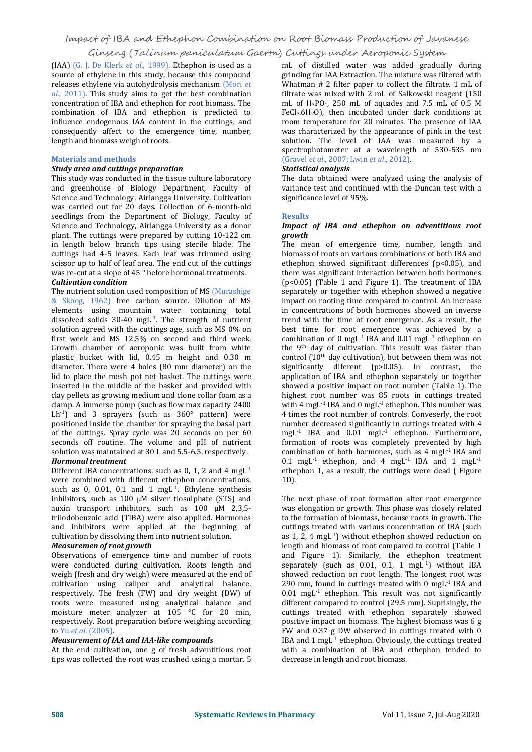(IAA) (G. J. De Klerk *et al*.,1999). Ethephon is used as a source of ethylene in this study, because this compound releases ethylene via autohydrolysis mechanism (Mori  $et$ al., 2011). This study aims to get the best combination concentration of IBA and ethephon for root biomass. The combination of IBA and ethephon is predicted to influence endogenous IAA content in the cuttings, and consequently affect to the emergence time, number, length and biomass weigh of roots.

## **Materials and methods**

## *Study area and cuttings preparation*

This study was conducted in the tissue culture laboratory and greenhouse of Biology Department, Faculty of Science and Technology, Airlangga University. Cultivation was carried out for 20 days. Collection of 6-month-old seedlings from the Department of Biology, Faculty of Science and Technology, Airlangga University as a donor plant. The cuttings were prepared by cutting 10-122 cm in length below branch tips using sterile blade. The cuttings had 4-5 leaves. Each leaf was trimmed using scissor up to half of leaf area. The end cut of the cuttings was re-cut at a slope of 45 ° before hormonal treatments.<br>*Cultivation condition* 

## The nutrient solution used composition of MS (Murashige & Skoog, 1962) free carbon source. Dilution of MS elements using mountain water containing total dissolved solids 30-40 mgL -1 . The strength of nutrient solution agreed with the cuttings age, such as MS 0% on first week and MS 12.5% on second and third week. Growth chamber of aeroponic was built from white plastic bucket with lid, 0.45 m height and 0.30 m diameter. There were 4 holes (80 mm diameter) on the lid to place the mesh pot net basket. The cuttings were inserted in the middle of the basket and provided with clay pellets as growing medium and clone collar foam as a clamp. A immerse pump (such as flow max capacity 2400 Lh<sup>-1</sup>) and 3 sprayers (such as 360° pattern) were 4 times the i positioned inside the chamber for spraying the basal part of the cuttings. Spray cycle was 20 seconds on per 60 seconds off routine. The volume and pH of nutrient solution was maintained at <sup>30</sup> <sup>L</sup> and 5.5-6.5, respectively. *Hormonal treatment*

Different IBA concentrations, such as 0, 1, 2 and 4 mgL<sup>-1</sup> were combined with different ethephon concentrations, such as 0, 0.01, 0.1 and 1 mgL -1 .Ethylene synthesis inhibitors, such as 100 μM silver tiosulphate (STS) and auxin transport inhibitors, such as 100 μM 2,3,5 triiodobenzoic acid (TIBA) were also applied. Hormones and inhibitors were applied at the beginning of cultivation by dissolving them into nutrient solution. *Measuremen of root growth*

Observations of emergence time and number of roots were conducted during cultivation. Roots length and weigh (fresh and dry weigh) were measured at the end of cultivation using caliper and analytical balance, respectively. The fresh (FW) and dry weight (DW) of roots were measured using analytical balance and moisture meter analyzer at 105 °C for 20 min, respectively. Root preparation before weighing according to  $Yu$  *et al.* (2005).

### to Yu *et al*. (2005). *Measurement of IAA and IAA-like compounds*

At the end cultivation, one g of fresh adventitious root tips was collected the root was crushed using a mortar. 5

mL of distilled water was added gradually during grinding for IAA Extraction. The mixture was filtered with Whatman # 2 filter paper to collect the filtrate. 1 mL of filtrate was mixed with 2 mL of Salkowski reagent (150 mL of  $H_3PO_4$ , 250 mL of aquades and 7.5 mL of 0.5 M FeCl<sub>3</sub>.6H<sub>2</sub>O), then incubated under dark conditions at room temperature for 20 minutes. The presence of IAA was characterized by the appearance of pink in the test solution. The level of IAA was measured by a spectrophotometer at a wavelength of 530-535 nm (Gravel *et al*., 2007; Lwin *et al*., 2012). *Statistical analysis*

The data obtained were analyzed using the analysis of variance test and continued with the Duncan test with a significance level of 95%.

### **Results**

## *Impact of IBA and ethephon on adventitious root growth*

 $e^{-1}$  ethephon 1, as a result, the cuttings were dead (Figure The mean of emergence time, number, length and biomass of roots on various combinations of both IBA and ethephon showed significant differences (p<0.05), and there was significant interaction between both hormones (p<0.05) (Table 1 and Figure 1). The treatment of IBA separately or together with ethephon showed a negative impact on rooting time compared to control. An increase in concentrations of both hormones showed an inverse trend with the time of root emergence. As a result, the best time for root emergence was achieved by a combination of 0 mgL<sup>-1</sup> IBA and  $0.01$  mgL<sup>-1</sup> ethephon on the 9<sup>th</sup> day of cultivation. This result was faster than control (10<sup>th</sup> day cultivation), but between them was not significantly diferent ( $p>0.05$ ). In contrast, the application of IBA and ethephon separately or together showed a positive impact on root number (Table 1). The highest root number was 85 roots in cuttings treated with 4 mgL<sup>-1</sup> IBA and 0 mgL<sup>-1</sup> ethephon. This number was 4 times the root number of controls. Conveserly, the root number decreased significantly in cuttings treated with 4 mgL -1 IBA and 0.01 mgL -1 ethephon. Furthermore, formation of roots was completely prevented by high combination of both hormones, such as  $4 \text{ mgL}$ <sup>1</sup> IBA and  $0.1 \text{ mgL}^{-1}$  ethephon, and 4 mgL<sup>-1</sup> IBA and 1 mgL<sup>-1</sup> -1 1D).

> The next phase of root formation after root emergence was elongation or growth. This phase was closely related to the formation of biomass, because roots in growth. The cuttings treated with various concentration of IBA (such as 1, 2, 4 mgL -1) without ethephon showed reduction on length and biomass of root compared to control (Table 1 and Figure 1). Similarly, the ethephon treatment separately (such as 0.01, 0.1, 1 mgL -1) without IBA showed reduction on root length. The longest root was 290 mm, found in cuttings treated with 0 mgL -1 IBA and  $0.01$  mgL<sup>-1</sup> ethephon. This result was not significantly different compared to control (29.5 mm). Suprisingly, the cuttings treated with ethephon separately showed positive impact on biomass. The highest biomass was 6 g FW and  $0.37$  g DW observed in cuttings treated with  $0$ IBA and 1 mgL -1 ethephon. Obviously, the cuttings treated with acombination of IBA and ethephon tended to decrease in length and root biomass.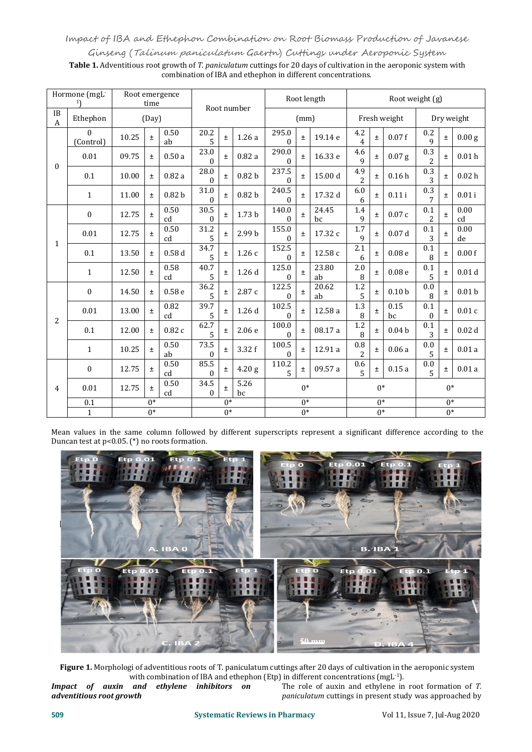## Impact of IBA andEthephon Combination on Root Biomass Production of Javanese

Ginseng (Talinum paniculatum Gaertn) Cuttings under Aeroponic System

**Table 1.** Adventitious root growth of *T. paniculatum* cuttings for 20 days of cultivation in the aeroponic system with combination of IBA and ethephon in different concentrations.

| Hormone (mgL |                       | Root emergence<br>time |       |                   |                  |       |                   | Root length             |       |             | Root weight (g)       |       |                   |                     |       |                   |  |
|--------------|-----------------------|------------------------|-------|-------------------|------------------|-------|-------------------|-------------------------|-------|-------------|-----------------------|-------|-------------------|---------------------|-------|-------------------|--|
| IB<br>A      | Ethephon              | (Day)                  |       |                   | Root number      |       |                   | (mm)                    |       |             | Fresh weight          |       |                   | Dry weight          |       |                   |  |
| $\theta$     | $\Omega$<br>(Control) | 10.25                  | $\pm$ | 0.50<br>ab        | 20.2<br>5        | $\pm$ | 1.26a             | 295.0<br>0              | $\pm$ | 19.14 e     | 4.2<br>4              | $\pm$ | 0.07f             | $0.2\,$<br>9        | $\pm$ | 0.00 <sub>g</sub> |  |
|              | 0.01                  | 09.75                  | $\pm$ | 0.50a             | 23.0<br>$\Omega$ | $\pm$ | 0.82a             | 290.0<br>$\Omega$       | $\pm$ | 16.33 e     | 4.6<br>9              | $\pm$ | $0.07$ g          | 0.3<br>2            | $\pm$ | 0.01 <sub>h</sub> |  |
|              | 0.1                   | 10.00                  | $\pm$ | 0.82a             | 28.0<br>$\Omega$ | Ŧ.    | 0.82 <sub>b</sub> | 237.5<br>$\Omega$       | $\pm$ | 15.00 d     | 4.9<br>$\overline{2}$ | $\pm$ | 0.16h             | 0.3<br>3            | $\pm$ | 0.02 <sub>h</sub> |  |
|              | $\mathbf{1}$          | 11.00                  | $\pm$ | 0.82 <sub>b</sub> | 31.0<br>0        | $\pm$ | 0.82 <sub>b</sub> | 240.5<br>$\Omega$       | $\pm$ | 17.32 d     | 6.0<br>6              | $\pm$ | 0.11i             | 0.3<br>7            | $\pm$ | $0.01$ i          |  |
| 1            | $\mathbf{0}$          | 12.75                  | $\pm$ | 0.50<br>cd        | 30.5<br>$\theta$ | $\pm$ | 1.73 <sub>b</sub> | 140.0<br>0              |       | 24.45<br>bc | 1.4<br>9              | Ŧ.    | 0.07c             | 0.1<br>2            | $\pm$ | 0.00<br>cd        |  |
|              | 0.01                  | 12.75                  | $\pm$ | 0.50<br>cd        | 31.2<br>5        | $\pm$ | 2.99 b            | 155.0<br>$\Omega$       | $\pm$ | 17.32 c     | 1.7<br>9              | $\pm$ | 0.07d             | 0.1<br>3            | $\pm$ | 0.00<br>de        |  |
|              | 0.1                   | 13.50                  | Ŧ     | 0.58d             | 34.7<br>5        | $\pm$ | 1.26c             | 152.5<br>0              | $\pm$ | 12.58 c     | 2.1<br>6              | $\pm$ | 0.08 <sub>e</sub> | 0.1<br>8            | $\pm$ | 0.00 f            |  |
|              | $\mathbf{1}$          | 12.50                  | $\pm$ | 0.58<br>cd        | 40.7<br>5        | $\pm$ | 1.26d             | 125.0<br>0              | $\pm$ | 23.80<br>ab | 2.0<br>8              | $\pm$ | 0.08 <sub>e</sub> | 0.1<br>5            | ±.    | 0.01 <sub>d</sub> |  |
|              | $\mathbf{0}$          | 14.50                  | $\pm$ | 0.58 <sub>e</sub> | 36.2<br>5        | $\pm$ | 2.87 c            | 122.5<br>0              | $\pm$ | 20.62<br>ab | $1.2\,$<br>5          | $\pm$ | 0.10 <sub>b</sub> | 0.0<br>8            | $\pm$ | 0.01 <sub>b</sub> |  |
| 2            | 0.01                  | 13.00                  | $\pm$ | 0.82<br>cd        | 39.7<br>5        | $\pm$ | 1.26d             | 102.5<br>$\Omega$       | $\pm$ | 12.58 a     | 1.3<br>8              | $\pm$ | 0.15<br>bc        | 0.1<br>$\mathbf{0}$ | $\pm$ | 0.01c             |  |
|              | 0.1                   | 12.00                  | $\pm$ | 0.82c             | 62.7<br>5        | $\pm$ | 2.06e             | 100.0<br>$\overline{0}$ | $\pm$ | 08.17 a     | 1.2<br>8              | Ŧ.    | 0.04 <sub>b</sub> | 0.1<br>3            | $\pm$ | 0.02 <sub>d</sub> |  |
|              | $\mathbf{1}$          | 10.25                  | $\pm$ | 0.50<br>ab        | 73.5<br>$\theta$ | $\pm$ | 3.32 f            | 100.5<br>$\mathbf{0}$   | $\pm$ | 12.91 a     | $0.8\,$<br>2          | $\pm$ | 0.06a             | 0.0<br>5            | $\pm$ | 0.01a             |  |
| 4            | $\boldsymbol{0}$      | 12.75                  | $\pm$ | 0.50<br>cd        | 85.5<br>0        | $\pm$ | 4.20 <sub>g</sub> | 110.2<br>$\overline{5}$ | $\pm$ | 09.57 a     | 0.6<br>5              | $\pm$ | 0.15a             | 0.0<br>5            | $\pm$ | 0.01a             |  |
|              | 0.01                  | 12.75                  | $\pm$ | 0.50<br>cd        | 34.5<br>$\Omega$ | Ŧ     | 5.26<br>bc        | $0*$                    |       |             | $0^*$                 |       |                   | $0^*$               |       |                   |  |
|              | 0.1                   | $0*$                   |       |                   | $\overline{0^*}$ |       |                   | $\overline{0^*}$        |       |             | $\overline{0^*}$      |       |                   | $\overline{0^*}$    |       |                   |  |
|              | $\mathbf{1}$          | $0*$                   |       |                   | $\overline{0^*}$ |       |                   | $\overline{0^*}$        |       |             | $\overline{0^*}$      |       |                   | $\overline{0^*}$    |       |                   |  |

Mean values in the same column followed by different superscripts represent a significant difference according to the Duncan test at p<0.05. (\*) no roots formation.



**Figure 1.** Morphologi of adventitious roots of T. paniculatum cuttings after 20 days of cultivation in the aeroponic system

with combination of IBA and ethephon (Etp) in different concentrations (mgL<sup>-1</sup>).<br>*Impact* of auxin and ethylene inhibitors on The role of auxin and ethylene in root formation of *adventitious root growth* The role of auxin and ethylene in root formation of *T. paniculatum* cuttings in present study was approached by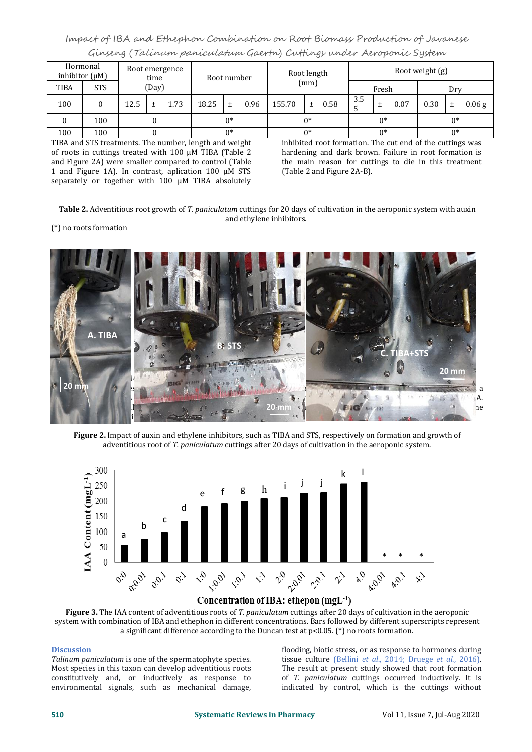## Impact of IBA and Ethephon Combination on Root Biomass Production of Javanese Ginseng (Talinum paniculatum Gaertn) Cuttings under Aeroponic System

| Hormonal<br>inhibitor $(\mu M)$ |            | Root emergence<br>time |   | Root number |       |   | Root length |        |       | Root weight (g) |          |   |      |      |   |          |
|---------------------------------|------------|------------------------|---|-------------|-------|---|-------------|--------|-------|-----------------|----------|---|------|------|---|----------|
| <b>TIBA</b>                     | <b>STS</b> | (Day)                  |   |             |       |   | (mm)        |        |       | Fresh           |          |   | Drv  |      |   |          |
| 100                             |            | 12.5                   | ∸ | 1.73        | 18.25 | 土 | 0.96        | 155.70 | $\pm$ | 0.58            | 3.5<br>◡ | Ŧ | 0.07 | 0.30 | 士 | $0.06$ g |
| $\bf{0}$                        | 100        |                        |   | $0*$        |       |   | $^*$        |        |       | $0*$            |          |   | $0*$ |      |   |          |
| 100                             | 100        |                        |   | $0*$        |       |   | ∩*          |        |       | $^*$            |          |   | ∩∗   |      |   |          |

TIBA and STS treatments. The number, length and weight of roots in cuttings treated with 100 µM TIBA (Table 2 and Figure 2A) were smaller compared to control (Table 1 and Figure 1A). In contrast, aplication 100 µM STS separately or together with 100 µM TIBA absolutely inhibited root formation. The cut end of the cuttings was hardening and dark brown. Failure in root formation is the main reason for cuttings to die in this treatment (Table 2 and Figure 2A-B).

**Table 2.** Adventitious root growth of *T. paniculatum* cuttings for 20 days of cultivation in the aeroponic system with auxin and ethylene inhibitors.

## (\*) no roots formation



**Figure 2.** Impact of auxin and ethylene inhibitors, such as TIBA and STS, respectively on formation and growth of adventitious root of *T. paniculatum* cuttings after 20 days of cultivation in the aeroponic system.



## Concentration of IBA: ethepon (mgL<sup>-1</sup>)

**Figure 3.** The IAA content of adventitious roots of *T. paniculatum* cuttings after 20 days of cultivation in the aeroponic system with combination of IBA and ethephon in different concentrations. Bars followed by different superscripts represent a significant difference according to the Duncan test at p<0.05. (\*) no roots formation.

## **Discussion**

*Talinum paniculatum* is one of the spermatophyte species. Most species in this taxon can develop adventitious roots constitutively and, or inductively as response to environmental signals, such as mechanical damage, flooding, biotic stress, or as response to hormones during tissue culture (Bellini *et al*., 2014; Druege *et al*., 2016). The result at present study showed that root formation of *T. paniculatum* cuttings occurred inductively. It is indicated by control, which is the cuttings without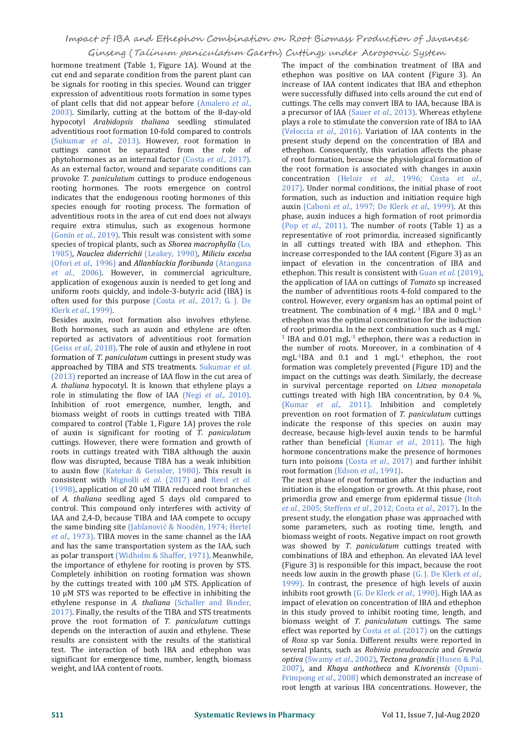hormone treatment (Table 1, Figure 1A). Wound at the cut end and separate condition from the parent plant can be signals for rooting in this species. Wound can trigger expression of adventitious roots formation in some types of plant cells that did not appear before (Amalero *et al*., 2003). Similarly, cutting at the bottom of the 8-day-old hypocotyl *Arabidopsis thaliana* seedling stimulated adventitious root formation 10-fold compared to controls (Sukumar *et al*., 2013). However, root formation in cuttings cannot be separated from the role of phytohormones as an internal factor (Costa *et al*., 2017). As an external factor, wound and separate conditions can provoke *T. paniculatum* cuttings to produce endogenous rooting hormones. The roots emergence on control indicates that the endogenous rooting hormones of this species enough for rooting process. The formation of adventitious roots in the area of cut end does not always require extra stimulus, such as exogenous hormone (Gonin *et al*., 2019). This result was consistent with some species of tropical plants, such as *Shorea macrophylla* (Lo, 1985), *Nauclea diderrichii* (Leakey, 1990), *Miliciu excelsa* (Ofori *et al*., 1996) and *Allanblackia floribunda* (Atangana *et al*., 2006). However, in commercial agriculture, application of exogenous auxin is needed to get long and uniform roots quickly, and indole-3-butyric acid (IBA) is often used for this purpose (Costa *et al*., 2017; G. J. De Klerk *et al*., 1999).

Besides auxin, root formation also involves ethylene. Both hormones, such as auxin and ethylene are often reported as activators of adventitious root formation (Geiss *et al.,* 2018). The role of auxin and ethylene in root formation of *T. paniculatum* cuttings in present study was approached by TIBA and STS treatments. Sukumar *et al*. (2013) reported an increase of IAA flow in the cut area of *A. thaliana* hypocotyl. It is known that ethylene plays a role in stimulating the flow of IAA (Negi *et al*., 2010). Inhibition of root emergence, number, length, and biomass weight of roots in cuttings treated with TIBA compared to control (Table 1, Figure 1A) proves the role of auxin is significant for rooting of *T. paniculatum* roots in cuttings treated with TIBA although the auxin flow was disrupted, because TIBA has a weak inhibition to auxin flow (Katekar & Geissler, 1980). This result is consistent with Mignolli *et al*. (2017) and Reed *et al.* (1998), application of 20 uM TIBA reduced root branches of *A. thaliana* seedling aged 5 days old compared to control. This compound only interferes with activity of IAA and 2,4-D, because TIBA and IAA compete to occupy the same binding site (Jablanović & Noodén, 1974; Hertel et al., 1973). TIBA moves in the same channel as the IAA and has the same transportation system as the IAA, such as polar transport (Widholm & Shaffer, 1971). Meanwhile, the importance of ethylene for rooting is proven by STS. Completely inhibition on rooting formation was shown by the cuttings treated with 100 µM STS. Application of 10 µM STS was reported to be effective in inhibiting the ethylene response in *A. thaliana* (Schaller and Binder, 2017). Finally, the results of the TIBA and STS treatments prove the root formation of *T. paniculatum* cuttings depends on the interaction of auxin and ethylene. These results are consistent with the results of the statistical test. The interaction of both IBA and ethephon was significant for emergence time, number, length, biomass weight, and IAA content of roots.

The impact of the combination treatment of IBA and ethephon was positive on IAA content (Figure 3). An increase of IAA content indicates that IBA and ethephon were successfully diffused into cells around the cut end of cuttings. The cells may convert IBA to IAA, because IBA is a precursor of IAA (Sauer *et al*., 2013). Whereas ethylene plays a role to stimulate the conversion rate of IBA to IAA (Veloccia *et al*., 2016). Variation of IAA contents in the present study depend on the concentration of IBA and ethephon. Consequently, this variation affects the phase of root formation, because the physiological formation of the root formation is associated with changes in auxin concentration (Heloir *et al*., 1996; Costa *et al*., 2017). Under normal conditions, the initial phase of root formation, such as induction and initiation require high auxin (Caboni *et al*., 1997; De Klerk *et al*.,1999). At this phase, auxin induces a high formation of root primordia (Pop *et al*., 2011). The number of roots (Table 1) as a representative of root primordia, increased significantly in all cuttings treated with IBA and ethephon. This increase corresponded to the IAA content (Figure 3) as an impact of elevation in the concentration of IBA and ethephon. This result is consistent with Guan *et al*. (2019), the application of IAA on cuttings of*Tomato* sp increased the number of adventitious roots 4-fold compared to the control. However, every organism has an optimal point of treatment. The combination of 4 mgL $^{-1}$  IBA and 0 mgL $^{-1}$ -1 ethephon was the optimal concentration for the induction of root primordia. In the next combination such as 4 mgL -  $1$  IBA and 0.01 mgL<sup>-1</sup> ethephon, there was a reduction in the number of roots. Moreover, in a combination of 4 mgL -1 IBA and 0.1 and 1 mgL -1 ethephon, the root formation was completely prevented (Figure 1D) and the impact on the cuttings was death. Similarly, the decrease in survival percentage reported on *Litsea monopetala* cuttings treated with high IBA concentration, by 0.4 %, (Kumar *et al*., 2011). Inhibition and completely prevention on root formation of *T. paniculatum* cuttings indicate the response of this species on auxin may decrease, because high-level auxin tends to be harmful rather than beneficial (Kumar *et al*., 2011). The high hormone concentrations make the presence of hormones turn into poisons (Costa *et al*., 2017) and further inhibit root formation (Edson *et al*., 1991).

The next phase of root formation after the induction and initiation is the elongation or growth. At this phase, root primordia grow and emerge from epidermal tissue (Itoh *et al*., 2005; Steffens *et al*., 2012; Costa *et al*., 2017). In the present study, the elongation phase was approached with some parameters, such as rooting time, length, and biomass weight of roots. Negative impact on root growth was showed by *T. paniculatum* cuttings treated with combinations of IBA and ethephon. An elevated IAA level (Figure 3) is responsible for this impact, because the root needs low auxin in thegrowth phase (G. J. De Klerk *et al*., 1999). In contrast, the presence of high levels of auxin inhibits root growth (G. De Klerk *et al*., 1990). High IAA as impact of elevation on concentration of IBA and ethephon in this study proved to inhibit rooting time, length, and biomass weight of *T. paniculatum* cuttings. The same effect was reported by Costa *et al*. (2017) on the cuttings of *Rosa* sp var Sonia. Different results were reported in several plants, such as *Robinia pseudoacacia* and *Grewia optiva* (Swamy *et al*., 2002), *Tectona grandis* (Husen & Pal, 2007), and *Khaya anthotheca* and *K.ivorensis* (Opuni root length at various IBA concentrations. However, the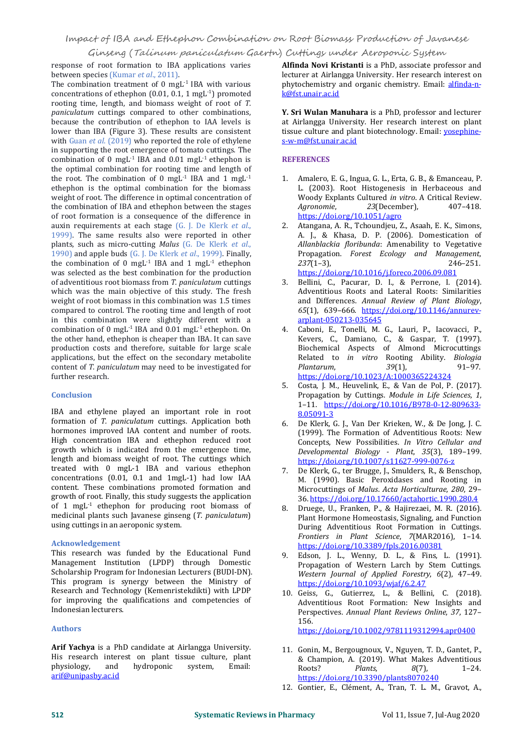response of root formation to IBA applications varies between species (Kumar *et al*., 2011).

The combination treatment of 0 mgL<sup>-1</sup> IBA with various phytocher concentrations of ethephon  $(0.01, 0.1, 1 \text{ mgL}^{-1})$  promoted rooting time, length, and biomass weight of root of *T*. paniculatum cuttings compared to other combinations, because the contribution of ethephon to IAA levels is lower than IBA (Figure 3). These results are consistent with Guan *et al*. (2019) who reported the role of ethylene in supporting the root emergence of tomato cuttings. The combination of 0 mgL<sup>-1</sup> IBA and  $0.01$  mgL<sup>-1</sup> ethephon is **REFERENCE**. the optimal combination for rooting time and length of the root. The combination of 0 mgL<sup>-1</sup> IBA and 1 mgL<sup>-1</sup>  $\qquad$  1. Amalero ethephon is the optimal combination for the biomass weight of root. The difference in optimal concentration of Woody Expl<br>the combination of IBA and ethephon between the stages *Agronomie*, the combination of IBA and ethephon between the stages of root formation is a consequence of the difference in auxin requirements at each stage (G. J. De Klerk *et al*., 1999). The same results also were reported in other plants, such as micro-cutting *Malus* (G. De Klerk *et al*., 1990) and apple buds (G. J. De Klerk *et al*., 1999). Finally, the combination of 0 mgL<sup>-1</sup> IBA and 1 mgL<sup>-1</sup> ethephon  $237(1-3)$ , was selected as the best combination for the production<br>of adventitious root biomass from *T. naniculatum* cuttings 3. of adventitious root biomass from *T. paniculatum* cuttings which was the main objective of this study. The fresh and Adventitious Roots and Lateral Roots: Similarities<br>weight of root biomass in this combination was 1.5 times and Differences. Annual Review of Plant Biology, weight of root biomass in this combination was 1.5 times compared to control. The rooting time and length of root in this combination were slightly different with a<br>combination of 0 mgL<sup>-1</sup> IBA and 0.01 mgL<sup>-1</sup> ethenhon On 4 combination of 0 mgL<sup>-1</sup> IBA and 0.01 mgL<sup>-1</sup> ethephon. On 34. Caboni, E., the other hand, ethephon is cheaper than IBA. It can save production costs and therefore, suitable for large scale applications, but the effect on the secondary metabolite Related to content of *T. paniculatum* may need to be investigated for *Plantarum*, content of *T. paniculatum* may need to be investigated for further research.

## **Conclusion**

IBA and ethylene played an important role in root formation of *T. paniculatum* cuttings. Application both hormones improved IAA content and number of roots. High concentration IBA and ethephon reduced root growth which is indicated from the emergence time, length and biomass weight of root. The cuttings which treated with 0 mgL-1 IBA and various ethephon concentrations (0.01, 0.1 and 1mgL-1) had low IAA content. These combinations promoted formation and growth of root. Finally, this study suggests the application of 1 mgL<sup>-1</sup> ethephon for producing root biomass of  $\qquad \qquad 8.$  D medicinal plants such Javanese ginseng (*T. paniculatum*) using cuttings in an aeroponic system.

## **Acknowledgement**

This research was funded by the Educational Fund Management Institution (LPDP) through Domestic<br>Propagation of Western Larch by Stem Cuttings. Scholarship Program for Indonesian Lecturers (BUDI-DN). This program is synergy between the Ministry of Research and Technology (Kemenristekdikti) with LPDP for improving the qualifications and competencies of Indonesian lecturers.

## **Authors**

**Arif Yachya** is a PhD candidate at Airlangga University. His research interest on plant tissue culture, plant physiology, and hydroponic system, Email: hydroponic [arif@unipasby.ac.id](mailto:arif@unipasby.ac.id)

<sup>-1</sup>) promoted kortalista kontra<mark>k@fst.unair.ac.id</mark> **Alfinda Novi Kristanti** is a PhD, associate professor and lecturer at Airlangga University. Her research interest on phytochemistry and organic chemistry. Email: [alfinda-n-](mailto:alfinda-n-k@fst.unair.ac.id)

> **Y. Sri Wulan Manuhara** is a PhD, professor and lecturer at Airlangga University. Her research interest on plant tissue culture and plant biotechnology. Email: **[yosephine](mailto:yosephine-s-w-m@fst.unair.ac.id)** s-w-m@fst.unair.ac.id

## **REFERENCES**

- $^{-1}$  1. Amalero, E. G., Ingua, G. L., Erta, G. B., & Emanceau, P. L. (2003). Root Histogenesis in Herbaceous and Woody Explants Cultured *in vitro*. <sup>A</sup> Critical Review. *Agronomie*, *<sup>23</sup>*(December), 407–418. <https://doi.org/10.1051/agro>
	- 2. Atangana, A. R., Tchoundjeu, Z., Asaah, E. K., Simons, A. J., & Khasa, D. P. (2006). Domestication of *Allanblackia floribunda*: Amenability to Vegetative Propagation. *Forest Ecology and Management*, *<sup>237</sup>*(1–3), 246–251. <https://doi.org/10.1016/j.foreco.2006.09.081>
	- Bellini, C., Pacurar, D. I., & Perrone, I. (2014). Adventitious Roots and Lateral Roots: Similarities and Differences. *Annual Review of Plant Biology*, *<sup>65</sup>*(1), 639–666. [https://doi.org/10.1146/annurev](https://doi.org/10.1146/annurev-arplant-050213-035645) arplant-050213-035645
	- 4. Caboni, E., Tonelli, M. G., Lauri, P., Iacovacci, P., Kevers, C., Damiano, C., & Gaspar, T. (1997). Biochemical Aspects of Almond Microcuttings Related to *in vitro* Rooting Ability. *Biologia Plantarum*, *<sup>39</sup>*(1), 91–97. <https://doi.org/10.1023/A:1000365224324>
	- 5. Costa, J. M., Heuvelink, E., & Van de Pol, P. (2017). Propagation by Cuttings. *Module in Life Sciences*, *1*, 1–11. [https://doi.org/10.1016/B978-0-12-809633-](https://doi.org/10.1016/B978-0-12-809633-8.05091-3) 8.05091-3
	- 6. De Klerk, G. J., Van Der Krieken, W., & De Jong, J. C. (1999). The Formation of Adventitious Roots: New Concepts, New Possibilities. *In Vitro Cellular and Developmental Biology - Plant*, *35*(3), 189–199. <https://doi.org/10.1007/s11627-999-0076-z>
	- 7. De Klerk, G., ter Brugge, J., Smulders, R., & Benschop, M. (1990). Basic Peroxidases and Rooting in Microcuttings of *Malus*.*Acta Horticulturae*, *280*, 29– 36. <https://doi.org/10.17660/actahortic.1990.280.4>
	- 8. Druege, U., Franken, P., & Hajirezaei, M. R. (2016). Plant Hormone Homeostasis, Signaling, and Function During Adventitious Root Formation in Cuttings. *Frontiers in Plant Science*, *<sup>7</sup>*(MAR2016), 1–14. <https://doi.org/10.3389/fpls.2016.00381>
	- Edson, J. L., Wenny, D. L., & Fins, L. (1991). Western Journal of Applied Forestry, 6(2), 47-49. <https://doi.org/10.1093/wjaf/6.2.47>
	- 10. Geiss, G., Gutierrez, L., & Bellini, C. (2018). Adventitious Root Formation: New Insights and Perspectives. *Annual Plant Reviews Online*, *37*, 127– 156.

<https://doi.org/10.1002/9781119312994.apr0400>

- 11. Gonin, M., Bergougnoux, V., Nguyen, T. D., Gantet, P., & Champion, A. (2019). What Makes Adventitious<br>Roots? Plants,  $8(7)$ , 1-24. Roots? *Plants*, *8*(7), 1–24. <https://doi.org/10.3390/plants8070240>
- 12. Gontier, E., Clément, A., Tran, T. L. M., Gravot, A.,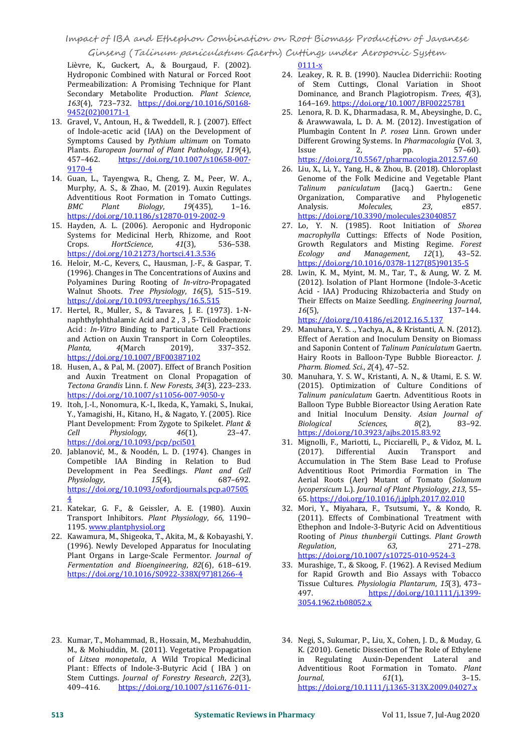## Impact of IBA andEthephon Combination on Root Biomass Production of Javanese

Ginseng (Talinum paniculatum Gaertn) Cuttings under Aeroponic System

Lièvre, K., Guckert, A., & Bourgaud, F. (2002). Hydroponic Combined with Natural or Forced Root Permeabilization: A Promising Technique for Plant<br>Secondary Metabolite Production. Plant Science, Secondary Metabolite Production. *Plant Science*, *<sup>163</sup>*(4), 723–732. [https://doi.org/10.1016/S0168-](https://doi.org/10.1016/S0168-9452(02)00171-1) 9452(02)00171-1

- 13. Gravel, V., Antoun, H., & Tweddell, R. J. (2007). Effect of Indole-acetic acid (IAA) on the Development of Symptoms Caused by *Pythium ultimum* on Tomato **Differ**<br>Plants *Euronean Journal of Plant Pathology*, 119(4). [Ssue Plants. *European Journal of Plant Pathology, 119*(4), 457-462. https://doi.org/10.1007/s10658-007[https://doi.org/10.1007/s10658-007-](https://doi.org/10.1007/s10658-007-9170-4) 9170-4
- 14. Guan, L., Tayengwa, R., Cheng, Z. M., Peer, W. A., Murphy, A. S., & Zhao, M. (2019). Auxin Regulates Talinum pa<br>Adventitious Root Formation in Tomato Cuttings. Organization, Adventitious Root Formation in Tomato Cuttings. *BMC Plant Biology*, *<sup>19</sup>*(435), 1–16. <https://doi.org/10.1186/s12870-019-2002-9>
- 15. Hayden, A. L. (2006). Aeroponic and Hydroponic 27. Lo, Y. N. (1985). Root Initiation of Shorea<br>Systems for Medicinal Herb, Rhizome, and Root and the macrophylla Cuttings: Effects of Node Position, Systems for Medicinal Herb, Rhizome, and Root<br>Crops. HortScience, 41(3), 536-538.  $HortScience$ <https://doi.org/10.21273/hortsci.41.3.536>
- 16. Heloir, M.-C., Kevers, C., Hausman, J.-F., & Gaspar, T. (1996). Changes in The Concentrations of Auxins and Polyamines During Rooting of *In-vitro*-Propagated Walnut Shoots. *Tree Physiology*, *16*(5), 515–519. <https://doi.org/10.1093/treephys/16.5.515> Their<br>Hertel, R., Muller, S., & Tavares, J. E. (1973). 1-N- 16(5),
- 17. Hertel, R., Muller, S., & Tavares, J. E. (1973). 1-N naphthylphthalamic Acid and 2 , 3 , 5-Triiodobenzoic Acid : *In-Vitro* Binding to Particulate Cell Fractions and Action on Auxin Transport in Corn Coleoptiles. *Planta*, *<sup>4</sup>*(March 2019), 337–352. <https://doi.org/10.1007/BF00387102>
- 18. Husen, A., & Pal, M. (2007). Effect of Branch Position Pharm. Biomed. Sci., 2(4), 47-52. and Auxin Treatment on Clonal Propagation of *Tectona Grandis* Linn. f. *New Forests*, *34*(3), 223–233. <https://doi.org/10.1007/s11056-007-9050-y>
- 19. Itoh, J.-I., Nonomura, K.-I., Ikeda, K., Yamaki, S., Inukai, Y., Yamagishi, H., Kitano, H., & Nagato, Y. (2005). Rice Plant Development: From Zygote to Spikelet. *Plant &*  $Physiology,$ <https://doi.org/10.1093/pcp/pci501>
- 20. Jablanović, M., & Noodén, L. D. (1974). Changes in Competible IAA Binding in Relation to Bud Development in Pea Seedlings. *Plant and Cell Physiology*, [https://doi.org/10.1093/oxfordjournals.pcp.a07505](https://doi.org/10.1093/oxfordjournals.pcp.a075054)  $\frac{4}{5}$
- 21. Katekar, G. F., & Geissler, A. E. (1980). Auxin Transport Inhibitors. *Plant Physiology*, *66*, 1190– 1195. [www.plantphysiol.org](http://www.plantphysiol.org)
- 22. Kawamura, M., Shigeoka, T., Akita, M., & Kobayashi, Y. Rooting of <br>(1996). Newly Developed Apparatus for Inoculating *Regulation*. (1996). Newly Developed Apparatus for Inoculating Plant Organs in Large-Scale Fermentor.*Journal of Fermentation and Bioengineering*, *82*(6), 618–619. [https://doi.org/10.1016/S0922-338X\(97\)81266-4](https://doi.org/10.1016/S0922-338X(97)81266-4)

0111-x

- 24. Leakey, R. R. B. (1990). Nauclea Diderrichii: Rooting of Stem Cuttings, Clonal Variation in Shoot Dominance, and Branch Plagiotropism. *Trees*, *4*(3), 164–169. <https://doi.org/10.1007/BF00225781>
- 25. Lenora, R. D. K., Dharmadasa, R. M., Abeysinghe, D. C., & Arawwawala, L. D. A. M. (2012). Investigation of Plumbagin Content In *P.rosea* Linn. Grown under Different Growing Systems. In *Pharmacologia* (Vol. 3,  $Is sue 2, pp. 57–60.$ <https://doi.org/10.5567/pharmacologia.2012.57.60>
- 26. Liu, X., Li, Y., Yang, H., & Zhou, B. (2018). Chloroplast Genome of the Folk Medicine and Vegetable Plant *Talinum paniculatum* (Jacq.) Gaertn.: Gene Organization, Comparative and Phylogenetic<br>Analysis. *Molecules*, 23, e857. Analysis. *Molecules*, *23*, e857. <https://doi.org/10.3390/molecules23040857>
- 27. Lo, Y. N. (1985). Root Initiation of Shorea Growth Regulators and Misting Regime. *Forest*  $M$ anagement, [https://doi.org/10.1016/0378-1127\(85\)90135-5](https://doi.org/10.1016/0378-1127(85)90135-5)
- 28. Lwin, K. M., Myint, M. M., Tar, T., & Aung, W. Z. M. (2012). Isolation of Plant Hormone (Indole-3-Acetic Acid - IAA) Producing Rhizobacteria and Study on Their Effects on Maize Seedling. *Engineering Journal*, *<sup>16</sup>*(5), 137–144. <https://doi.org/10.4186/ej.2012.16.5.137>
- 29. Manuhara, Y. S. ., Yachya, A., & Kristanti, A. N. (2012). Effect of Aeration and Inoculum Density on Biomass and Saponin Content of *Talinum Paniculatum* Gaertn. Hairy Roots in Balloon-Type Bubble Bioreactor. *J.*
- 30. Manuhara, Y. S. W., Kristanti, A. N., & Utami, E. S. W. (2015). Optimization of Culture Conditions of *Talinum paniculatum* Gaertn. Adventitious Roots in Balloon Type Bubble Bioreactor Using Aeration Rate and Initial Inoculum Density. *Asian Journal of*  $Biological$ <https://doi.org/10.3923/ajbs.2015.83.92>
- 31. Mignolli, F., Mariotti, L., Picciarelli, P., & Vidoz, M. L. Differential Auxin Transport and Accumulation in The Stem Base Lead to Profuse Adventitious Root Primordia Formation in The Aerial Roots (Aer) Mutant of Tomato (*Solanum lycopersicum* L.). *Journal of Plant Physiology*, *213*, 55– 65. <https://doi.org/10.1016/j.jplph.2017.02.010>
- 32. Mori, Y., Miyahara, F., Tsutsumi, Y., & Kondo, R. (2011). Effects of Combinational Treatment with Ethephon and Indole-3-Butyric Acid on Adventitious Rooting of *Pinus thunbergii* Cuttings. *Plant Growth Regulation*, *63*, 271–278. <https://doi.org/10.1007/s10725-010-9524-3>
- 33. Murashige, T., & Skoog, F. (1962). A Revised Medium for Rapid Growth and Bio Assays with Tobacco Tissue Cultures. *Physiologia Plantarum*, *15*(3), 473– [https://doi.org/10.1111/j.1399-](https://doi.org/10.1111/j.1399-3054.1962.tb08052.x) 3054.1962.tb08052.x
- 23. Kumar, T., Mohammad, B., Hossain, M., Mezbahuddin, M., & Mohiuddin, M. (2011). Vegetative Propagation of *Litsea monopetala*, A Wild Tropical Medicinal Plant : Effects of Indole-3-Butyric Acid (IBA ) on Adventition Atlantic Stem Cuttings. Journal of Forestry Research, 22(3), Journal. Stem Cuttings. *Journal of Forestry Research*, *22*(3), [https://doi.org/10.1007/s11676-011-](https://doi.org/10.1007/s11676-011-0111-x)
	- 34. Negi, S., Sukumar, P., Liu, X., Cohen, J. D., & Muday, G. K. (2010). Genetic Dissection of The Role of Ethylene in Regulating Auxin-Dependent Lateral and Adventitious Root Formation in Tomato. *Plant Journal*, *61*(1), 3–15. <https://doi.org/10.1111/j.1365-313X.2009.04027.x>